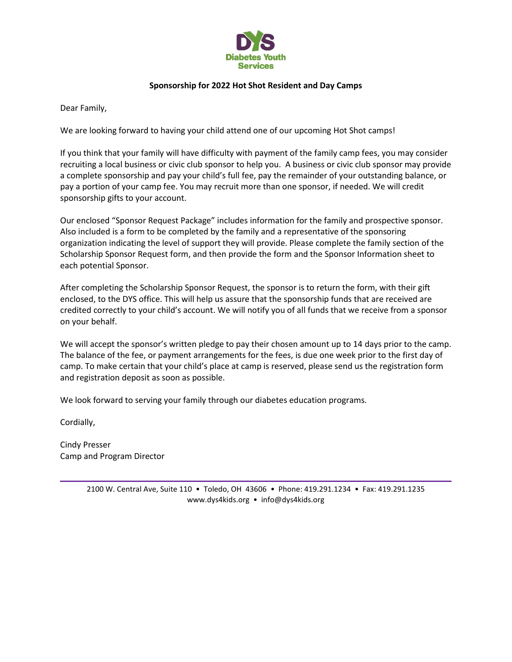

## **Sponsorship for 2022 Hot Shot Resident and Day Camps**

Dear Family,

We are looking forward to having your child attend one of our upcoming Hot Shot camps!

If you think that your family will have difficulty with payment of the family camp fees, you may consider recruiting a local business or civic club sponsor to help you. A business or civic club sponsor may provide a complete sponsorship and pay your child's full fee, pay the remainder of your outstanding balance, or pay a portion of your camp fee. You may recruit more than one sponsor, if needed. We will credit sponsorship gifts to your account.

Our enclosed "Sponsor Request Package" includes information for the family and prospective sponsor. Also included is a form to be completed by the family and a representative of the sponsoring organization indicating the level of support they will provide. Please complete the family section of the Scholarship Sponsor Request form, and then provide the form and the Sponsor Information sheet to each potential Sponsor.

After completing the Scholarship Sponsor Request, the sponsor is to return the form, with their gift enclosed, to the DYS office. This will help us assure that the sponsorship funds that are received are credited correctly to your child's account. We will notify you of all funds that we receive from a sponsor on your behalf.

We will accept the sponsor's written pledge to pay their chosen amount up to 14 days prior to the camp. The balance of the fee, or payment arrangements for the fees, is due one week prior to the first day of camp. To make certain that your child's place at camp is reserved, please send us the registration form and registration deposit as soon as possible.

We look forward to serving your family through our diabetes education programs.

Cordially,

Cindy Presser Camp and Program Director

> 2100 W. Central Ave, Suite 110 • Toledo, OH 43606 • Phone: 419.291.1234 • Fax: 419.291.1235 www.dys4kids.org • info@dys4kids.org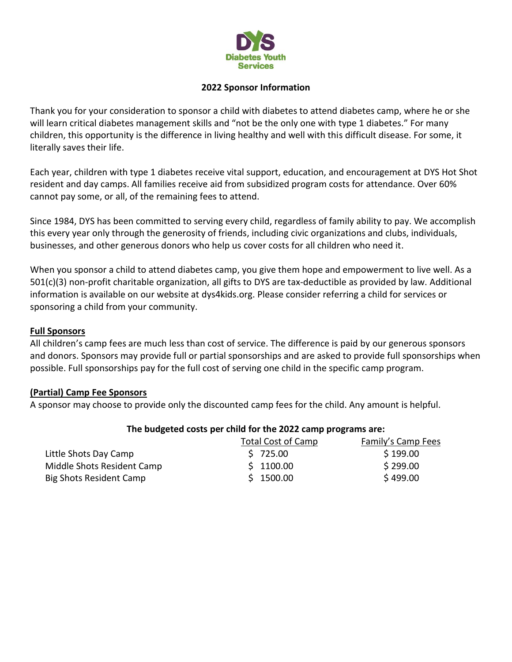

# **2022 Sponsor Information**

Thank you for your consideration to sponsor a child with diabetes to attend diabetes camp, where he or she will learn critical diabetes management skills and "not be the only one with type 1 diabetes." For many children, this opportunity is the difference in living healthy and well with this difficult disease. For some, it literally saves their life.

Each year, children with type 1 diabetes receive vital support, education, and encouragement at DYS Hot Shot resident and day camps. All families receive aid from subsidized program costs for attendance. Over 60% cannot pay some, or all, of the remaining fees to attend.

Since 1984, DYS has been committed to serving every child, regardless of family ability to pay. We accomplish this every year only through the generosity of friends, including civic organizations and clubs, individuals, businesses, and other generous donors who help us cover costs for all children who need it.

When you sponsor a child to attend diabetes camp, you give them hope and empowerment to live well. As a 501(c)(3) non-profit charitable organization, all gifts to DYS are tax-deductible as provided by law. Additional information is available on our website at dys4kids.org. Please consider referring a child for services or sponsoring a child from your community.

## **Full Sponsors**

All children's camp fees are much less than cost of service. The difference is paid by our generous sponsors and donors. Sponsors may provide full or partial sponsorships and are asked to provide full sponsorships when possible. Full sponsorships pay for the full cost of serving one child in the specific camp program.

#### **(Partial) Camp Fee Sponsors**

A sponsor may choose to provide only the discounted camp fees for the child. Any amount is helpful.

#### **The budgeted costs per child for the 2022 camp programs are:**

|                            | Total Cost of Camp | Family's Camp Fees |
|----------------------------|--------------------|--------------------|
| Little Shots Day Camp      | \$725.00           | \$199.00           |
| Middle Shots Resident Camp | \$1100.00          | \$299.00           |
| Big Shots Resident Camp    | \$1500.00          | \$499.00           |